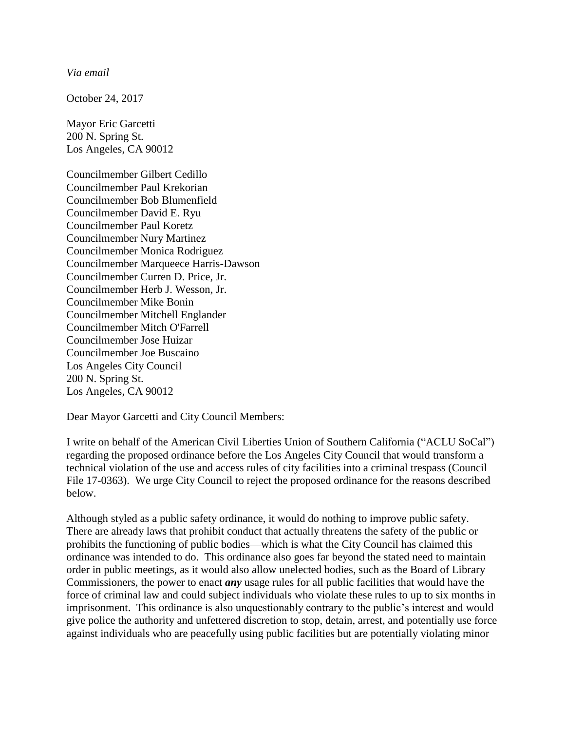*Via email* 

October 24, 2017

Mayor Eric Garcetti 200 N. Spring St. Los Angeles, CA 90012

Councilmember Gilbert Cedillo Councilmember Paul Krekorian Councilmember Bob Blumenfield Councilmember David E. Ryu Councilmember Paul Koretz Councilmember Nury Martinez Councilmember Monica Rodriguez Councilmember Marqueece Harris-Dawson Councilmember Curren D. Price, Jr. Councilmember Herb J. Wesson, Jr. Councilmember Mike Bonin Councilmember Mitchell Englander Councilmember Mitch O'Farrell Councilmember Jose Huizar Councilmember Joe Buscaino Los Angeles City Council 200 N. Spring St. Los Angeles, CA 90012

Dear Mayor Garcetti and City Council Members:

I write on behalf of the American Civil Liberties Union of Southern California ("ACLU SoCal") regarding the proposed ordinance before the Los Angeles City Council that would transform a technical violation of the use and access rules of city facilities into a criminal trespass (Council File 17-0363). We urge City Council to reject the proposed ordinance for the reasons described below.

Although styled as a public safety ordinance, it would do nothing to improve public safety. There are already laws that prohibit conduct that actually threatens the safety of the public or prohibits the functioning of public bodies—which is what the City Council has claimed this ordinance was intended to do. This ordinance also goes far beyond the stated need to maintain order in public meetings, as it would also allow unelected bodies, such as the Board of Library Commissioners, the power to enact *any* usage rules for all public facilities that would have the force of criminal law and could subject individuals who violate these rules to up to six months in imprisonment. This ordinance is also unquestionably contrary to the public's interest and would give police the authority and unfettered discretion to stop, detain, arrest, and potentially use force against individuals who are peacefully using public facilities but are potentially violating minor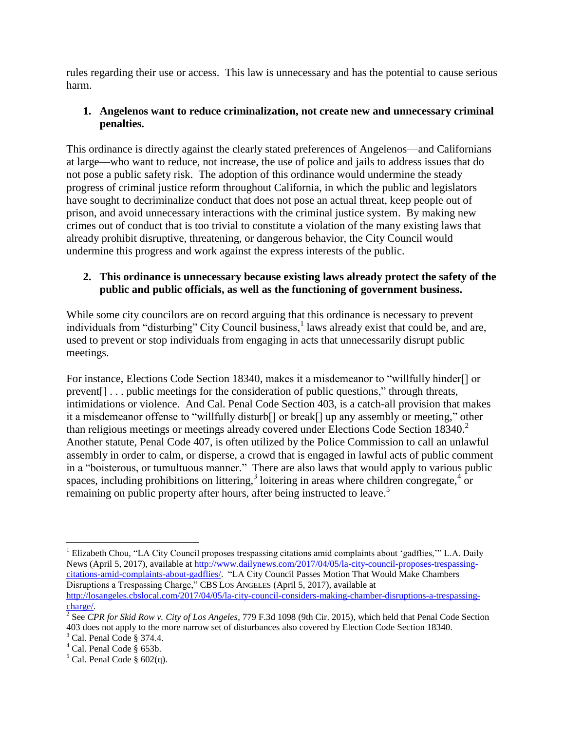rules regarding their use or access. This law is unnecessary and has the potential to cause serious harm.

# **1. Angelenos want to reduce criminalization, not create new and unnecessary criminal penalties.**

This ordinance is directly against the clearly stated preferences of Angelenos—and Californians at large—who want to reduce, not increase, the use of police and jails to address issues that do not pose a public safety risk. The adoption of this ordinance would undermine the steady progress of criminal justice reform throughout California, in which the public and legislators have sought to decriminalize conduct that does not pose an actual threat, keep people out of prison, and avoid unnecessary interactions with the criminal justice system. By making new crimes out of conduct that is too trivial to constitute a violation of the many existing laws that already prohibit disruptive, threatening, or dangerous behavior, the City Council would undermine this progress and work against the express interests of the public.

# **2. This ordinance is unnecessary because existing laws already protect the safety of the public and public officials, as well as the functioning of government business.**

While some city councilors are on record arguing that this ordinance is necessary to prevent individuals from "disturbing" City Council business,<sup>1</sup> laws already exist that could be, and are, used to prevent or stop individuals from engaging in acts that unnecessarily disrupt public meetings.

For instance, Elections Code Section 18340, makes it a misdemeanor to "willfully hinder[] or prevent[] . . . public meetings for the consideration of public questions," through threats, intimidations or violence. And Cal. Penal Code Section 403, is a catch-all provision that makes it a misdemeanor offense to "willfully disturb[] or break[] up any assembly or meeting," other than religious meetings or meetings already covered under Elections Code Section 18340.<sup>2</sup> Another statute, Penal Code 407, is often utilized by the Police Commission to call an unlawful assembly in order to calm, or disperse, a crowd that is engaged in lawful acts of public comment in a "boisterous, or tumultuous manner." There are also laws that would apply to various public spaces, including prohibitions on littering,<sup>3</sup> loitering in areas where children congregate,<sup>4</sup> or remaining on public property after hours, after being instructed to leave.<sup>5</sup>

 $\overline{a}$ 

<sup>&</sup>lt;sup>1</sup> Elizabeth Chou, "LA City Council proposes trespassing citations amid complaints about 'gadflies," L.A. Daily News (April 5, 2017), available at [http://www.dailynews.com/2017/04/05/la-city-council-proposes-trespassing](http://www.dailynews.com/2017/04/05/la-city-council-proposes-trespassing-citations-amid-complaints-about-gadflies/)[citations-amid-complaints-about-gadflies/.](http://www.dailynews.com/2017/04/05/la-city-council-proposes-trespassing-citations-amid-complaints-about-gadflies/) "LA City Council Passes Motion That Would Make Chambers Disruptions a Trespassing Charge," CBS LOS ANGELES (April 5, 2017), available at [http://losangeles.cbslocal.com/2017/04/05/la-city-council-considers-making-chamber-disruptions-a-trespassing](http://losangeles.cbslocal.com/2017/04/05/la-city-council-considers-making-chamber-disruptions-a-trespassing-charge/)[charge/.](http://losangeles.cbslocal.com/2017/04/05/la-city-council-considers-making-chamber-disruptions-a-trespassing-charge/)

<sup>2</sup> See *CPR for Skid Row v. City of Los Angeles*, 779 F.3d 1098 (9th Cir. 2015), which held that Penal Code Section 403 does not apply to the more narrow set of disturbances also covered by Election Code Section 18340.

<sup>3</sup> Cal. Penal Code § 374.4.

<sup>4</sup> Cal. Penal Code § 653b.

 $5$  Cal. Penal Code § 602(q).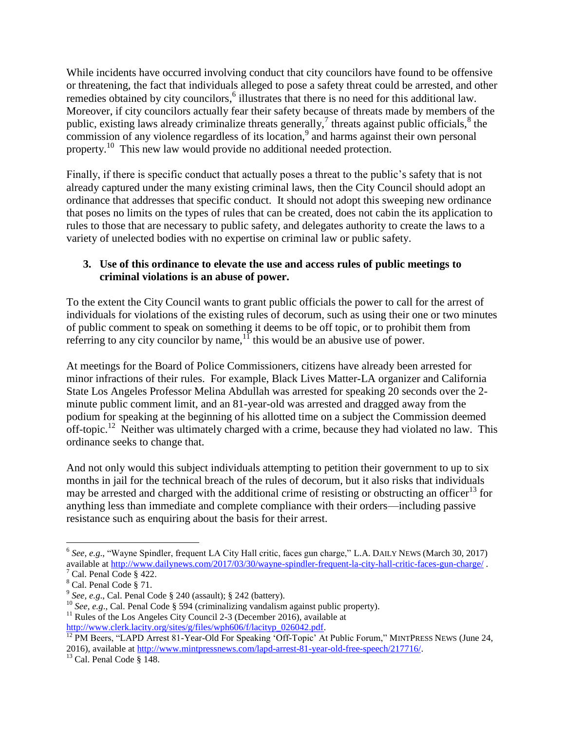While incidents have occurred involving conduct that city councilors have found to be offensive or threatening, the fact that individuals alleged to pose a safety threat could be arrested, and other remedies obtained by city councilors,<sup>6</sup> illustrates that there is no need for this additional law. Moreover, if city councilors actually fear their safety because of threats made by members of the public, existing laws already criminalize threats generally,<sup>7</sup> threats against public officials, $^8$  the commission of any violence regardless of its location,<sup>9</sup> and harms against their own personal property.<sup>10</sup> This new law would provide no additional needed protection.

Finally, if there is specific conduct that actually poses a threat to the public's safety that is not already captured under the many existing criminal laws, then the City Council should adopt an ordinance that addresses that specific conduct. It should not adopt this sweeping new ordinance that poses no limits on the types of rules that can be created, does not cabin the its application to rules to those that are necessary to public safety, and delegates authority to create the laws to a variety of unelected bodies with no expertise on criminal law or public safety.

### **3. Use of this ordinance to elevate the use and access rules of public meetings to criminal violations is an abuse of power.**

To the extent the City Council wants to grant public officials the power to call for the arrest of individuals for violations of the existing rules of decorum, such as using their one or two minutes of public comment to speak on something it deems to be off topic, or to prohibit them from referring to any city councilor by name,  $\frac{1}{1}$  this would be an abusive use of power.

At meetings for the Board of Police Commissioners, citizens have already been arrested for minor infractions of their rules. For example, Black Lives Matter-LA organizer and California State Los Angeles Professor Melina Abdullah was arrested for speaking 20 seconds over the 2 minute public comment limit, and an 81-year-old was arrested and dragged away from the podium for speaking at the beginning of his allotted time on a subject the Commission deemed off-topic.<sup>12</sup> Neither was ultimately charged with a crime, because they had violated no law. This ordinance seeks to change that.

And not only would this subject individuals attempting to petition their government to up to six months in jail for the technical breach of the rules of decorum, but it also risks that individuals may be arrested and charged with the additional crime of resisting or obstructing an officer<sup>13</sup> for anything less than immediate and complete compliance with their orders—including passive resistance such as enquiring about the basis for their arrest.

 $\overline{a}$ <sup>6</sup> See, e.g., "Wayne Spindler, frequent LA City Hall critic, faces gun charge," L.A. DAILY NEWS (March 30, 2017) available at<http://www.dailynews.com/2017/03/30/wayne-spindler-frequent-la-city-hall-critic-faces-gun-charge/> . Cal. Penal Code  $§$  422.

<sup>8</sup> Cal. Penal Code § 71.

<sup>9</sup> *See, e.g*., Cal. Penal Code § 240 (assault); § 242 (battery).

<sup>&</sup>lt;sup>10</sup> *See, e.g.*, Cal. Penal Code § 594 (criminalizing vandalism against public property).

 $11$  Rules of the Los Angeles City Council 2-3 (December 2016), available at [http://www.clerk.lacity.org/sites/g/files/wph606/f/lacityp\\_026042.pdf.](http://www.clerk.lacity.org/sites/g/files/wph606/f/lacityp_026042.pdf)

<sup>&</sup>lt;sup>12</sup> PM Beers, "LAPD Arrest 81-Year-Old For Speaking 'Off-Topic' At Public Forum," MINTPRESS NEWS (June 24, 2016), available at http://www.mintpressnews.com/lapd-arrest-81-year-old-free-speech/217716/.

 $13$  Cal. Penal Code § 148.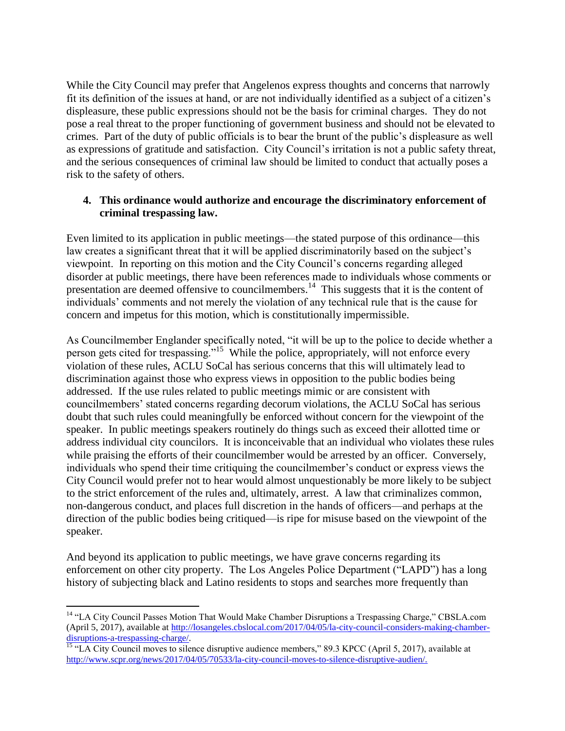While the City Council may prefer that Angelenos express thoughts and concerns that narrowly fit its definition of the issues at hand, or are not individually identified as a subject of a citizen's displeasure, these public expressions should not be the basis for criminal charges. They do not pose a real threat to the proper functioning of government business and should not be elevated to crimes. Part of the duty of public officials is to bear the brunt of the public's displeasure as well as expressions of gratitude and satisfaction. City Council's irritation is not a public safety threat, and the serious consequences of criminal law should be limited to conduct that actually poses a risk to the safety of others.

#### **4. This ordinance would authorize and encourage the discriminatory enforcement of criminal trespassing law.**

Even limited to its application in public meetings—the stated purpose of this ordinance—this law creates a significant threat that it will be applied discriminatorily based on the subject's viewpoint. In reporting on this motion and the City Council's concerns regarding alleged disorder at public meetings, there have been references made to individuals whose comments or presentation are deemed offensive to councilmembers.<sup>14</sup> This suggests that it is the content of individuals' comments and not merely the violation of any technical rule that is the cause for concern and impetus for this motion, which is constitutionally impermissible.

As Councilmember Englander specifically noted, "it will be up to the police to decide whether a person gets cited for trespassing."<sup>15</sup> While the police, appropriately, will not enforce every violation of these rules, ACLU SoCal has serious concerns that this will ultimately lead to discrimination against those who express views in opposition to the public bodies being addressed. If the use rules related to public meetings mimic or are consistent with councilmembers' stated concerns regarding decorum violations, the ACLU SoCal has serious doubt that such rules could meaningfully be enforced without concern for the viewpoint of the speaker. In public meetings speakers routinely do things such as exceed their allotted time or address individual city councilors. It is inconceivable that an individual who violates these rules while praising the efforts of their councilmember would be arrested by an officer. Conversely, individuals who spend their time critiquing the councilmember's conduct or express views the City Council would prefer not to hear would almost unquestionably be more likely to be subject to the strict enforcement of the rules and, ultimately, arrest. A law that criminalizes common, non-dangerous conduct, and places full discretion in the hands of officers—and perhaps at the direction of the public bodies being critiqued—is ripe for misuse based on the viewpoint of the speaker.

And beyond its application to public meetings, we have grave concerns regarding its enforcement on other city property. The Los Angeles Police Department ("LAPD") has a long history of subjecting black and Latino residents to stops and searches more frequently than

 $\overline{a}$ 

<sup>&</sup>lt;sup>14</sup> "LA City Council Passes Motion That Would Make Chamber Disruptions a Trespassing Charge," CBSLA.com (April 5, 2017), available at [http://losangeles.cbslocal.com/2017/04/05/la-city-council-considers-making-chamber](http://losangeles.cbslocal.com/2017/04/05/la-city-council-considers-making-chamber-disruptions-a-trespassing-charge/)[disruptions-a-trespassing-charge/.](http://losangeles.cbslocal.com/2017/04/05/la-city-council-considers-making-chamber-disruptions-a-trespassing-charge/)

<sup>&</sup>lt;sup>15</sup> "LA City Council moves to silence disruptive audience members," 89.3 KPCC (April 5, 2017), available at [http://www.scpr.org/news/2017/04/05/70533/la-city-council-moves-to-silence-disruptive-audien/.](http://www.scpr.org/news/2017/04/05/70533/la-city-council-moves-to-silence-disruptive-audien/)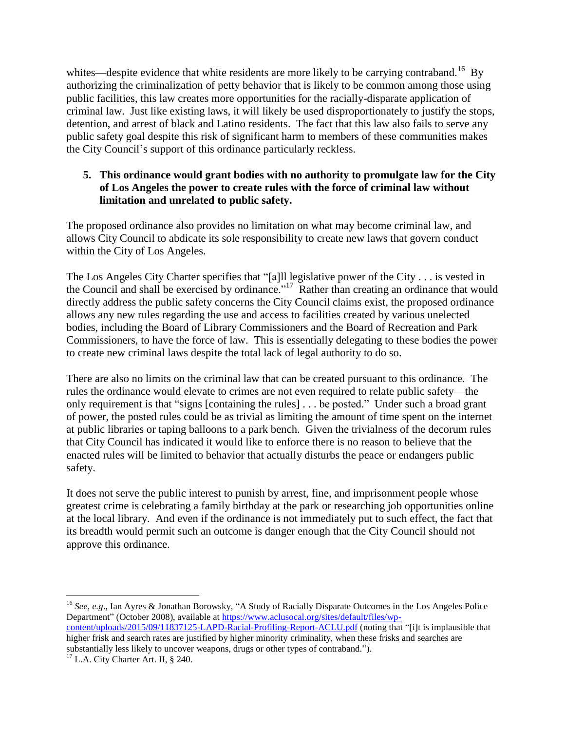whites—despite evidence that white residents are more likely to be carrying contraband.<sup>16</sup> By authorizing the criminalization of petty behavior that is likely to be common among those using public facilities, this law creates more opportunities for the racially-disparate application of criminal law. Just like existing laws, it will likely be used disproportionately to justify the stops, detention, and arrest of black and Latino residents. The fact that this law also fails to serve any public safety goal despite this risk of significant harm to members of these communities makes the City Council's support of this ordinance particularly reckless.

### **5. This ordinance would grant bodies with no authority to promulgate law for the City of Los Angeles the power to create rules with the force of criminal law without limitation and unrelated to public safety.**

The proposed ordinance also provides no limitation on what may become criminal law, and allows City Council to abdicate its sole responsibility to create new laws that govern conduct within the City of Los Angeles.

The Los Angeles City Charter specifies that "[a]ll legislative power of the City . . . is vested in the Council and shall be exercised by ordinance."<sup>17</sup> Rather than creating an ordinance that would directly address the public safety concerns the City Council claims exist, the proposed ordinance allows any new rules regarding the use and access to facilities created by various unelected bodies, including the Board of Library Commissioners and the Board of Recreation and Park Commissioners, to have the force of law. This is essentially delegating to these bodies the power to create new criminal laws despite the total lack of legal authority to do so.

There are also no limits on the criminal law that can be created pursuant to this ordinance. The rules the ordinance would elevate to crimes are not even required to relate public safety—the only requirement is that "signs [containing the rules] . . . be posted." Under such a broad grant of power, the posted rules could be as trivial as limiting the amount of time spent on the internet at public libraries or taping balloons to a park bench. Given the trivialness of the decorum rules that City Council has indicated it would like to enforce there is no reason to believe that the enacted rules will be limited to behavior that actually disturbs the peace or endangers public safety.

It does not serve the public interest to punish by arrest, fine, and imprisonment people whose greatest crime is celebrating a family birthday at the park or researching job opportunities online at the local library. And even if the ordinance is not immediately put to such effect, the fact that its breadth would permit such an outcome is danger enough that the City Council should not approve this ordinance.

<sup>16</sup> See, e.g., Ian Ayres & Jonathan Borowsky, "A Study of Racially Disparate Outcomes in the Los Angeles Police Department" (October 2008), available at [https://www.aclusocal.org/sites/default/files/wp-](https://www.aclusocal.org/sites/default/files/wp-content/uploads/2015/09/11837125-LAPD-Racial-Profiling-Report-ACLU.pdf)

[content/uploads/2015/09/11837125-LAPD-Racial-Profiling-Report-ACLU.pdf](https://www.aclusocal.org/sites/default/files/wp-content/uploads/2015/09/11837125-LAPD-Racial-Profiling-Report-ACLU.pdf) (noting that "[i]t is implausible that higher frisk and search rates are justified by higher minority criminality, when these frisks and searches are substantially less likely to uncover weapons, drugs or other types of contraband.").

 $\overline{a}$ 

 $17$  L.A. City Charter Art. II, § 240.